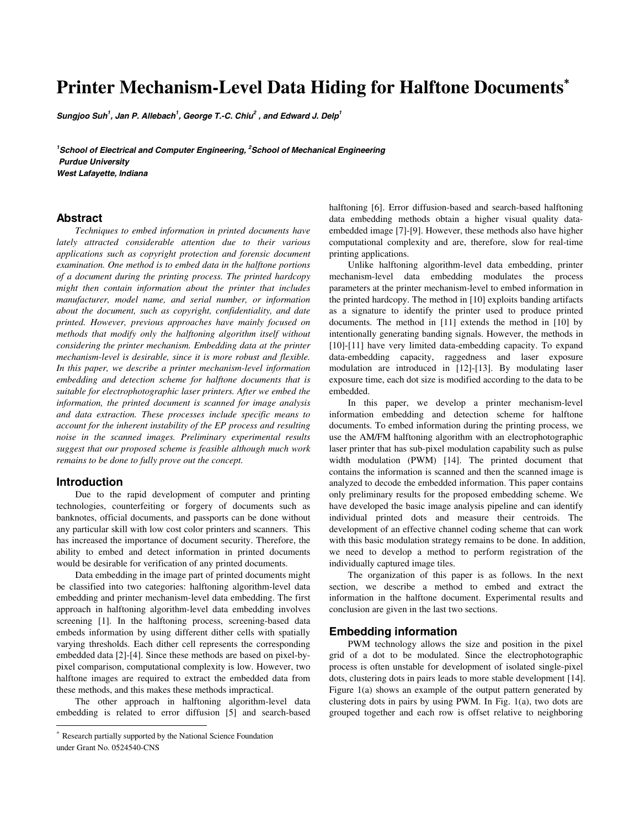# **Printer Mechanism-Level Data Hiding for Halftone Documents**<sup>∗</sup>

**Sungjoo Suh<sup>1</sup> , Jan P. Allebach<sup>1</sup> , George T.-C. Chiu<sup>2</sup> , and Edward J. Delp<sup>1</sup>**

**1 School of Electrical and Computer Engineering, <sup>2</sup> School of Mechanical Engineering Purdue University West Lafayette, Indiana** 

# **Abstract**

*Techniques to embed information in printed documents have lately attracted considerable attention due to their various applications such as copyright protection and forensic document examination. One method is to embed data in the halftone portions of a document during the printing process. The printed hardcopy might then contain information about the printer that includes manufacturer, model name, and serial number, or information about the document, such as copyright, confidentiality, and date printed. However, previous approaches have mainly focused on methods that modify only the halftoning algorithm itself without considering the printer mechanism. Embedding data at the printer mechanism-level is desirable, since it is more robust and flexible. In this paper, we describe a printer mechanism-level information embedding and detection scheme for halftone documents that is suitable for electrophotographic laser printers. After we embed the information, the printed document is scanned for image analysis and data extraction. These processes include specific means to account for the inherent instability of the EP process and resulting noise in the scanned images. Preliminary experimental results suggest that our proposed scheme is feasible although much work remains to be done to fully prove out the concept.* 

#### **Introduction**

 $\overline{a}$ 

Due to the rapid development of computer and printing technologies, counterfeiting or forgery of documents such as banknotes, official documents, and passports can be done without any particular skill with low cost color printers and scanners. This has increased the importance of document security. Therefore, the ability to embed and detect information in printed documents would be desirable for verification of any printed documents.

Data embedding in the image part of printed documents might be classified into two categories: halftoning algorithm-level data embedding and printer mechanism-level data embedding. The first approach in halftoning algorithm-level data embedding involves screening [1]. In the halftoning process, screening-based data embeds information by using different dither cells with spatially varying thresholds. Each dither cell represents the corresponding embedded data [2]-[4]. Since these methods are based on pixel-bypixel comparison, computational complexity is low. However, two halftone images are required to extract the embedded data from these methods, and this makes these methods impractical.

The other approach in halftoning algorithm-level data embedding is related to error diffusion [5] and search-based halftoning [6]. Error diffusion-based and search-based halftoning data embedding methods obtain a higher visual quality dataembedded image [7]-[9]. However, these methods also have higher computational complexity and are, therefore, slow for real-time printing applications.

Unlike halftoning algorithm-level data embedding, printer mechanism-level data embedding modulates the process parameters at the printer mechanism-level to embed information in the printed hardcopy. The method in [10] exploits banding artifacts as a signature to identify the printer used to produce printed documents. The method in [11] extends the method in [10] by intentionally generating banding signals. However, the methods in [10]-[11] have very limited data-embedding capacity. To expand data-embedding capacity, raggedness and laser exposure modulation are introduced in [12]-[13]. By modulating laser exposure time, each dot size is modified according to the data to be embedded.

In this paper, we develop a printer mechanism-level information embedding and detection scheme for halftone documents. To embed information during the printing process, we use the AM/FM halftoning algorithm with an electrophotographic laser printer that has sub-pixel modulation capability such as pulse width modulation (PWM) [14]. The printed document that contains the information is scanned and then the scanned image is analyzed to decode the embedded information. This paper contains only preliminary results for the proposed embedding scheme. We have developed the basic image analysis pipeline and can identify individual printed dots and measure their centroids. The development of an effective channel coding scheme that can work with this basic modulation strategy remains to be done. In addition, we need to develop a method to perform registration of the individually captured image tiles.

The organization of this paper is as follows. In the next section, we describe a method to embed and extract the information in the halftone document. Experimental results and conclusion are given in the last two sections.

### **Embedding information**

PWM technology allows the size and position in the pixel grid of a dot to be modulated. Since the electrophotographic process is often unstable for development of isolated single-pixel dots, clustering dots in pairs leads to more stable development [14]. Figure 1(a) shows an example of the output pattern generated by clustering dots in pairs by using PWM. In Fig. 1(a), two dots are grouped together and each row is offset relative to neighboring

Research partially supported by the National Science Foundation under Grant No. 0524540-CNS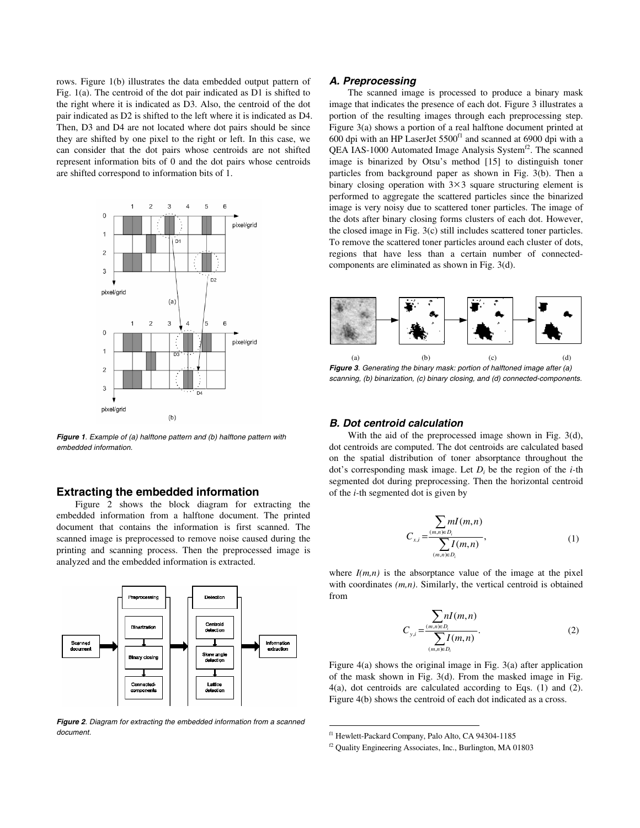rows. Figure 1(b) illustrates the data embedded output pattern of Fig. 1(a). The centroid of the dot pair indicated as D1 is shifted to the right where it is indicated as D3. Also, the centroid of the dot pair indicated as D2 is shifted to the left where it is indicated as D4. Then, D3 and D4 are not located where dot pairs should be since they are shifted by one pixel to the right or left. In this case, we can consider that the dot pairs whose centroids are not shifted represent information bits of 0 and the dot pairs whose centroids are shifted correspond to information bits of 1.



**Figure 1**. Example of (a) halftone pattern and (b) halftone pattern with embedded information.

# **Extracting the embedded information**

Figure 2 shows the block diagram for extracting the embedded information from a halftone document. The printed document that contains the information is first scanned. The scanned image is preprocessed to remove noise caused during the printing and scanning process. Then the preprocessed image is analyzed and the embedded information is extracted.



**Figure 2**. Diagram for extracting the embedded information from a scanned document.

#### **A. Preprocessing**

The scanned image is processed to produce a binary mask image that indicates the presence of each dot. Figure 3 illustrates a portion of the resulting images through each preprocessing step. Figure 3(a) shows a portion of a real halftone document printed at 600 dpi with an HP LaserJet  $5500<sup>f1</sup>$  and scanned at 6900 dpi with a QEA IAS-1000 Automated Image Analysis System<sup>f2</sup>. The scanned image is binarized by Otsu's method [15] to distinguish toner particles from background paper as shown in Fig. 3(b). Then a binary closing operation with  $3 \times 3$  square structuring element is performed to aggregate the scattered particles since the binarized image is very noisy due to scattered toner particles. The image of the dots after binary closing forms clusters of each dot. However, the closed image in Fig. 3(c) still includes scattered toner particles. To remove the scattered toner particles around each cluster of dots, regions that have less than a certain number of connectedcomponents are eliminated as shown in Fig. 3(d).



**Figure 3**. Generating the binary mask: portion of halftoned image after (a) scanning, (b) binarization, (c) binary closing, and (d) connected-components.

#### **B. Dot centroid calculation**

With the aid of the preprocessed image shown in Fig. 3(d), dot centroids are computed. The dot centroids are calculated based on the spatial distribution of toner absorptance throughout the dot's corresponding mask image. Let *Di* be the region of the *i-*th segmented dot during preprocessing. Then the horizontal centroid of the *i-*th segmented dot is given by

$$
C_{x,i} = \frac{\sum_{(m,n)\in D_i} mI(m,n)}{\sum_{(m,n)\in D_i} I(m,n)},
$$
\n(1)

where  $I(m,n)$  is the absorptance value of the image at the pixel with coordinates *(m,n)*. Similarly, the vertical centroid is obtained from

$$
C_{y,i} = \frac{\sum_{(m,n)\in D_i} nI(m,n)}{\sum_{(m,n)\in D_i} I(m,n)}.
$$
 (2)

Figure 4(a) shows the original image in Fig. 3(a) after application of the mask shown in Fig. 3(d). From the masked image in Fig. 4(a), dot centroids are calculated according to Eqs. (1) and (2). Figure 4(b) shows the centroid of each dot indicated as a cross.

 $\overline{a}$ 

f1 Hewlett-Packard Company, Palo Alto, CA 94304-1185

f2 Quality Engineering Associates, Inc., Burlington, MA 01803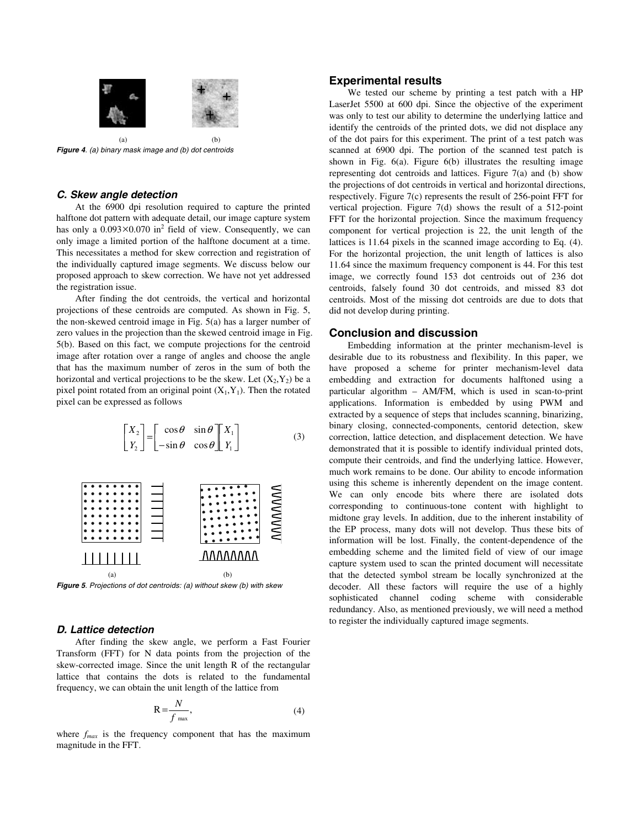

**Figure 4**. (a) binary mask image and (b) dot centroids

#### **C. Skew angle detection**

At the 6900 dpi resolution required to capture the printed halftone dot pattern with adequate detail, our image capture system has only a  $0.093 \times 0.070$  in<sup>2</sup> field of view. Consequently, we can only image a limited portion of the halftone document at a time. This necessitates a method for skew correction and registration of the individually captured image segments. We discuss below our proposed approach to skew correction. We have not yet addressed the registration issue.

After finding the dot centroids, the vertical and horizontal projections of these centroids are computed. As shown in Fig. 5, the non-skewed centroid image in Fig. 5(a) has a larger number of zero values in the projection than the skewed centroid image in Fig. 5(b). Based on this fact, we compute projections for the centroid image after rotation over a range of angles and choose the angle that has the maximum number of zeros in the sum of both the horizontal and vertical projections to be the skew. Let  $(X_2, Y_2)$  be a pixel point rotated from an original point  $(X_1, Y_1)$ . Then the rotated pixel can be expressed as follows

 (3) ⎥ ⎦ ⎤ ⎢ ⎣ ⎡ ⎥ ⎦ <sup>⎤</sup> <sup>⎢</sup> ⎣ ⎡ <sup>−</sup> <sup>=</sup><sup>⎥</sup> ⎦ <sup>⎤</sup> <sup>⎢</sup> ⎣ ⎡ 1 1 2 2 sin cos cos sin *Y X Y X* θ θ θ θ

 $(a)$  (b) **Figure 5**. Projections of dot centroids: (a) without skew (b) with skew

# **D. Lattice detection**

 $11111111$ 

After finding the skew angle, we perform a Fast Fourier Transform (FFT) for N data points from the projection of the skew-corrected image. Since the unit length R of the rectangular lattice that contains the dots is related to the fundamental frequency, we can obtain the unit length of the lattice from

$$
R = \frac{N}{f_{\text{max}}},\tag{4}
$$

AAAAAAAA

where  $f_{max}$  is the frequency component that has the maximum magnitude in the FFT.

## **Experimental results**

We tested our scheme by printing a test patch with a HP LaserJet 5500 at 600 dpi. Since the objective of the experiment was only to test our ability to determine the underlying lattice and identify the centroids of the printed dots, we did not displace any of the dot pairs for this experiment. The print of a test patch was scanned at 6900 dpi. The portion of the scanned test patch is shown in Fig. 6(a). Figure 6(b) illustrates the resulting image representing dot centroids and lattices. Figure 7(a) and (b) show the projections of dot centroids in vertical and horizontal directions, respectively. Figure 7(c) represents the result of 256-point FFT for vertical projection. Figure 7(d) shows the result of a 512-point FFT for the horizontal projection. Since the maximum frequency component for vertical projection is 22, the unit length of the lattices is 11.64 pixels in the scanned image according to Eq. (4). For the horizontal projection, the unit length of lattices is also 11.64 since the maximum frequency component is 44. For this test image, we correctly found 153 dot centroids out of 236 dot centroids, falsely found 30 dot centroids, and missed 83 dot centroids. Most of the missing dot centroids are due to dots that did not develop during printing.

### **Conclusion and discussion**

Embedding information at the printer mechanism-level is desirable due to its robustness and flexibility. In this paper, we have proposed a scheme for printer mechanism-level data embedding and extraction for documents halftoned using a particular algorithm – AM/FM, which is used in scan-to-print applications. Information is embedded by using PWM and extracted by a sequence of steps that includes scanning, binarizing, binary closing, connected-components, centorid detection, skew correction, lattice detection, and displacement detection. We have demonstrated that it is possible to identify individual printed dots, compute their centroids, and find the underlying lattice. However, much work remains to be done. Our ability to encode information using this scheme is inherently dependent on the image content. We can only encode bits where there are isolated dots corresponding to continuous-tone content with highlight to midtone gray levels. In addition, due to the inherent instability of the EP process, many dots will not develop. Thus these bits of information will be lost. Finally, the content-dependence of the embedding scheme and the limited field of view of our image capture system used to scan the printed document will necessitate that the detected symbol stream be locally synchronized at the decoder. All these factors will require the use of a highly sophisticated channel coding scheme with considerable redundancy. Also, as mentioned previously, we will need a method to register the individually captured image segments.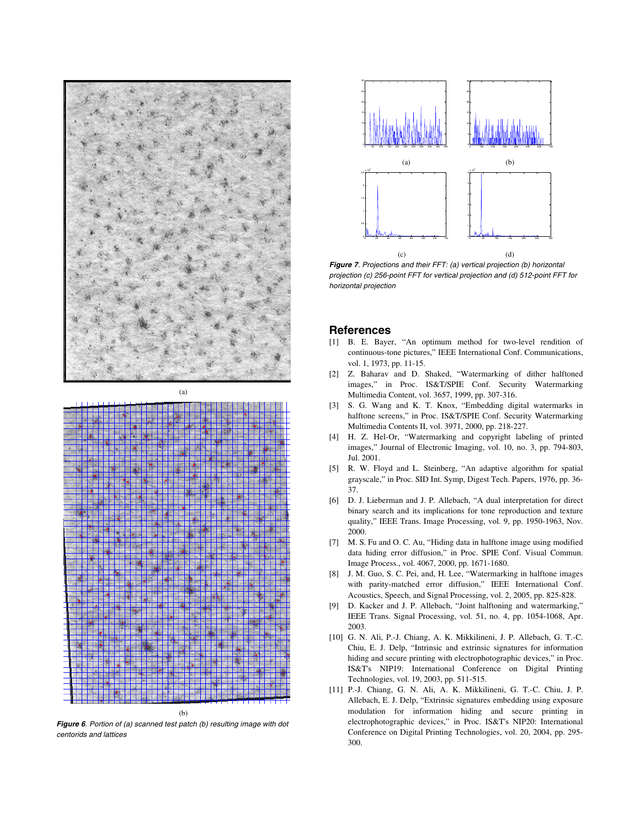



(b)

**Figure 6**. Portion of (a) scanned test patch (b) resulting image with dot centorids and lattices



**Figure 7**. Projections and their FFT: (a) vertical projection (b) horizontal projection (c) 256-point FFT for vertical projection and (d) 512-point FFT for horizontal projection

#### **References**

- [1] B. E. Bayer, "An optimum method for two-level rendition of continuous-tone pictures," IEEE International Conf. Communications, vol. 1, 1973, pp. 11-15.
- [2] Z. Baharav and D. Shaked, "Watermarking of dither halftoned images," in Proc. IS&T/SPIE Conf. Security Watermarking Multimedia Content, vol. 3657, 1999, pp. 307-316.
- [3] S. G. Wang and K. T. Knox, "Embedding digital watermarks in halftone screens," in Proc. IS&T/SPIE Conf. Security Watermarking Multimedia Contents II, vol. 3971, 2000, pp. 218-227.
- [4] H. Z. Hel-Or, "Watermarking and copyright labeling of printed images," Journal of Electronic Imaging, vol. 10, no. 3, pp. 794-803, Jul. 2001.
- [5] R. W. Floyd and L. Steinberg, "An adaptive algorithm for spatial grayscale," in Proc. SID Int. Symp, Digest Tech. Papers, 1976, pp. 36- 37.
- [6] D. J. Lieberman and J. P. Allebach, "A dual interpretation for direct binary search and its implications for tone reproduction and texture quality," IEEE Trans. Image Processing, vol. 9, pp. 1950-1963, Nov. 2000.
- [7] M. S. Fu and O. C. Au, "Hiding data in halftone image using modified data hiding error diffusion," in Proc. SPIE Conf. Visual Commun. Image Process., vol. 4067, 2000, pp. 1671-1680.
- [8] J. M. Guo, S. C. Pei, and, H. Lee, "Watermarking in halftone images with parity-matched error diffusion," IEEE International Conf. Acoustics, Speech, and Signal Processing, vol. 2, 2005, pp. 825-828.
- [9] D. Kacker and J. P. Allebach, "Joint halftoning and watermarking," IEEE Trans. Signal Processing, vol. 51, no. 4, pp. 1054-1068, Apr. 2003.
- [10] G. N. Ali, P.-J. Chiang, A. K. Mikkilineni, J. P. Allebach, G. T.-C. Chiu, E. J. Delp, "Intrinsic and extrinsic signatures for information hiding and secure printing with electrophotographic devices," in Proc. IS&T's NIP19: International Conference on Digital Printing Technologies, vol. 19, 2003, pp. 511-515.
- [11] P.-J. Chiang, G. N. Ali, A. K. Mikkilineni, G. T.-C. Chiu, J. P. Allebach, E. J. Delp, "Extrinsic signatures embedding using exposure modulation for information hiding and secure printing in electrophotographic devices," in Proc. IS&T's NIP20: International Conference on Digital Printing Technologies, vol. 20, 2004, pp. 295- 300.